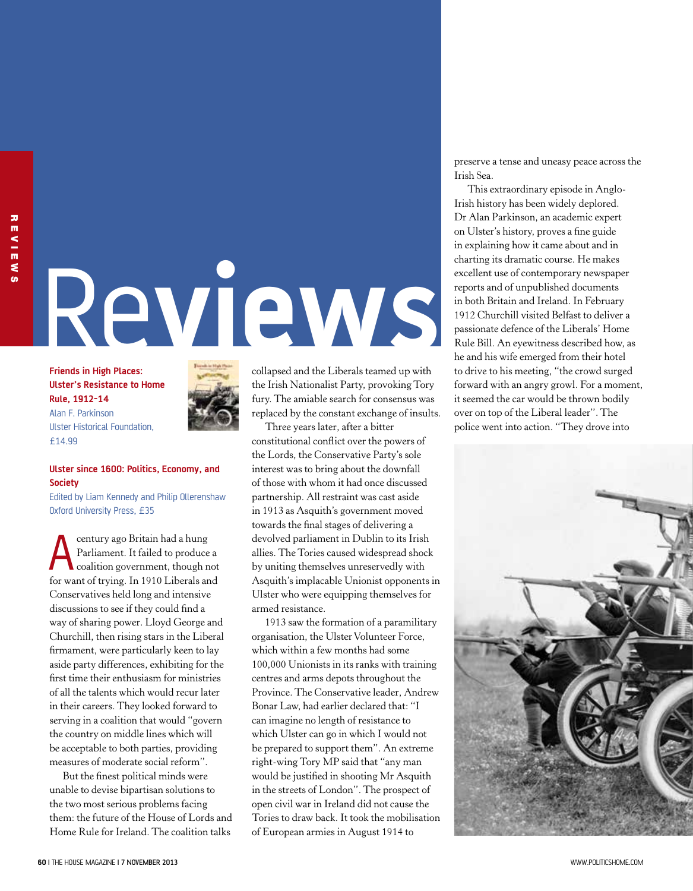## Re**views**

**Friends in High Places: Ulster's Resistance to Home Rule, 1912-14** Alan F. Parkinson Ulster Historical Foundation, £14.99



## **Ulster since 1600: Politics, Economy, and Society**

Edited by Liam Kennedy and Philip Ollerenshaw Oxford University Press, £35

**A century ago Britain had a hung<br>
Parliament.** It failed to produce a<br>
coalition government, though not<br>
forward of main a la 1010 Library and Parliament. It failed to produce a for want of trying. In 1910 Liberals and Conservatives held long and intensive discussions to see if they could find a way of sharing power. Lloyd George and Churchill, then rising stars in the Liberal firmament, were particularly keen to lay aside party differences, exhibiting for the first time their enthusiasm for ministries of all the talents which would recur later in their careers. They looked forward to serving in a coalition that would "govern the country on middle lines which will be acceptable to both parties, providing measures of moderate social reform".

But the finest political minds were unable to devise bipartisan solutions to the two most serious problems facing them: the future of the House of Lords and Home Rule for Ireland. The coalition talks

collapsed and the Liberals teamed up with the Irish Nationalist Party, provoking Tory fury. The amiable search for consensus was replaced by the constant exchange of insults.

Three years later, after a bitter constitutional conflict over the powers of the Lords, the Conservative Party's sole interest was to bring about the downfall of those with whom it had once discussed partnership. All restraint was cast aside in 1913 as Asquith's government moved towards the final stages of delivering a devolved parliament in Dublin to its Irish allies. The Tories caused widespread shock by uniting themselves unreservedly with Asquith's implacable Unionist opponents in Ulster who were equipping themselves for armed resistance.

1913 saw the formation of a paramilitary organisation, the Ulster Volunteer Force, which within a few months had some 100,000 Unionists in its ranks with training centres and arms depots throughout the Province. The Conservative leader, Andrew Bonar Law, had earlier declared that: "I can imagine no length of resistance to which Ulster can go in which I would not be prepared to support them". An extreme right-wing Tory MP said that "any man would be justified in shooting Mr Asquith in the streets of London". The prospect of open civil war in Ireland did not cause the Tories to draw back. It took the mobilisation of European armies in August 1914 to

preserve a tense and uneasy peace across the Irish Sea.

This extraordinary episode in Anglo-Irish history has been widely deplored. Dr Alan Parkinson, an academic expert on Ulster's history, proves a fine guide in explaining how it came about and in charting its dramatic course. He makes excellent use of contemporary newspaper reports and of unpublished documents in both Britain and Ireland. In February 1912 Churchill visited Belfast to deliver a passionate defence of the Liberals' Home Rule Bill. An eyewitness described how, as he and his wife emerged from their hotel to drive to his meeting, "the crowd surged forward with an angry growl. For a moment, it seemed the car would be thrown bodily over on top of the Liberal leader". The police went into action. "They drove into